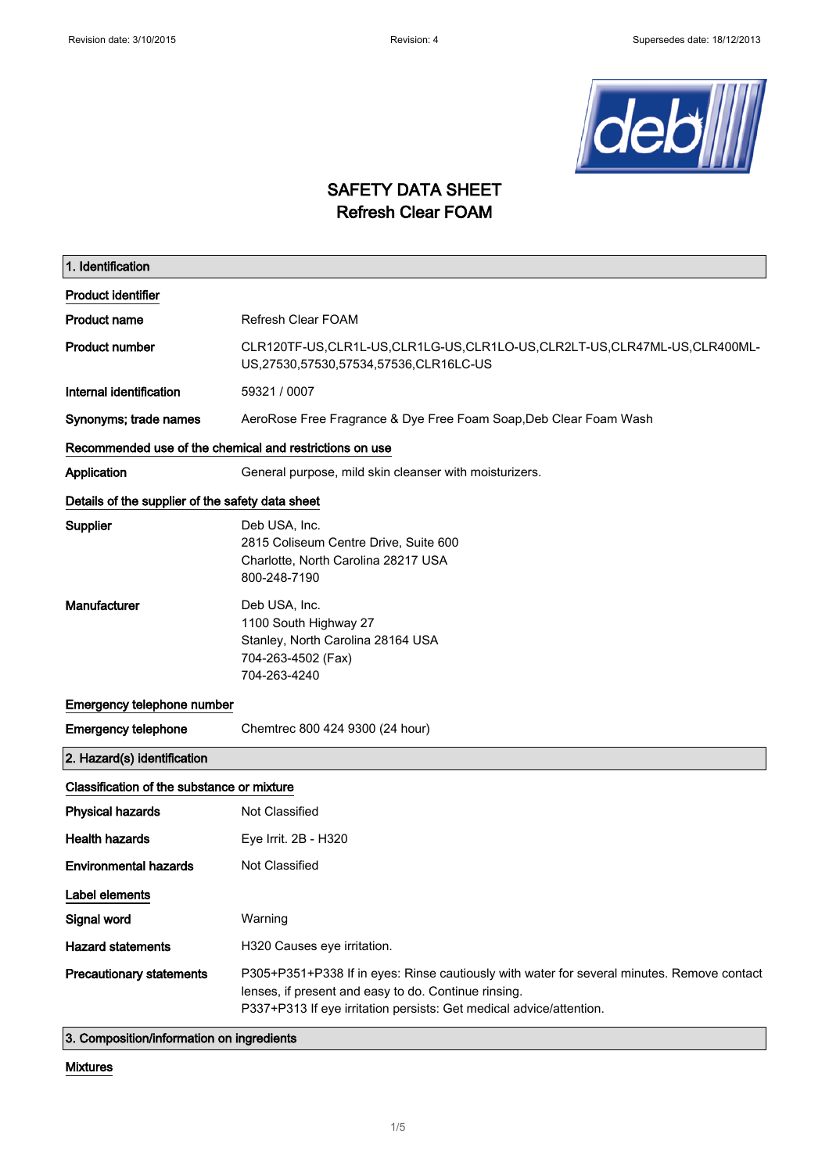

# SAFETY DATA SHEET Refresh Clear FOAM

| 1. Identification                                       |                                                                                                                                                                                                                           |  |
|---------------------------------------------------------|---------------------------------------------------------------------------------------------------------------------------------------------------------------------------------------------------------------------------|--|
| <b>Product identifier</b>                               |                                                                                                                                                                                                                           |  |
| <b>Product name</b>                                     | Refresh Clear FOAM                                                                                                                                                                                                        |  |
| <b>Product number</b>                                   | CLR120TF-US,CLR1L-US,CLR1LG-US,CLR1LO-US,CLR2LT-US,CLR47ML-US,CLR400ML-<br>US,27530,57530,57534,57536,CLR16LC-US                                                                                                          |  |
| Internal identification                                 | 59321 / 0007                                                                                                                                                                                                              |  |
| Synonyms; trade names                                   | AeroRose Free Fragrance & Dye Free Foam Soap, Deb Clear Foam Wash                                                                                                                                                         |  |
| Recommended use of the chemical and restrictions on use |                                                                                                                                                                                                                           |  |
| Application                                             | General purpose, mild skin cleanser with moisturizers.                                                                                                                                                                    |  |
| Details of the supplier of the safety data sheet        |                                                                                                                                                                                                                           |  |
| Supplier                                                | Deb USA, Inc.<br>2815 Coliseum Centre Drive, Suite 600<br>Charlotte, North Carolina 28217 USA<br>800-248-7190                                                                                                             |  |
| Manufacturer                                            | Deb USA, Inc.<br>1100 South Highway 27<br>Stanley, North Carolina 28164 USA<br>704-263-4502 (Fax)<br>704-263-4240                                                                                                         |  |
| Emergency telephone number                              |                                                                                                                                                                                                                           |  |
| <b>Emergency telephone</b>                              | Chemtrec 800 424 9300 (24 hour)                                                                                                                                                                                           |  |
| 2. Hazard(s) identification                             |                                                                                                                                                                                                                           |  |
| Classification of the substance or mixture              |                                                                                                                                                                                                                           |  |
| <b>Physical hazards</b>                                 | Not Classified                                                                                                                                                                                                            |  |
| <b>Health hazards</b>                                   | Eye Irrit. 2B - H320                                                                                                                                                                                                      |  |
| <b>Environmental hazards</b>                            | Not Classified                                                                                                                                                                                                            |  |
| Label elements                                          |                                                                                                                                                                                                                           |  |
| Signal word                                             | Warning                                                                                                                                                                                                                   |  |
| <b>Hazard statements</b>                                | H320 Causes eye irritation.                                                                                                                                                                                               |  |
| <b>Precautionary statements</b>                         | P305+P351+P338 If in eyes: Rinse cautiously with water for several minutes. Remove contact<br>lenses, if present and easy to do. Continue rinsing.<br>P337+P313 If eye irritation persists: Get medical advice/attention. |  |
| 3. Composition/information on ingredients               |                                                                                                                                                                                                                           |  |

#### Mixtures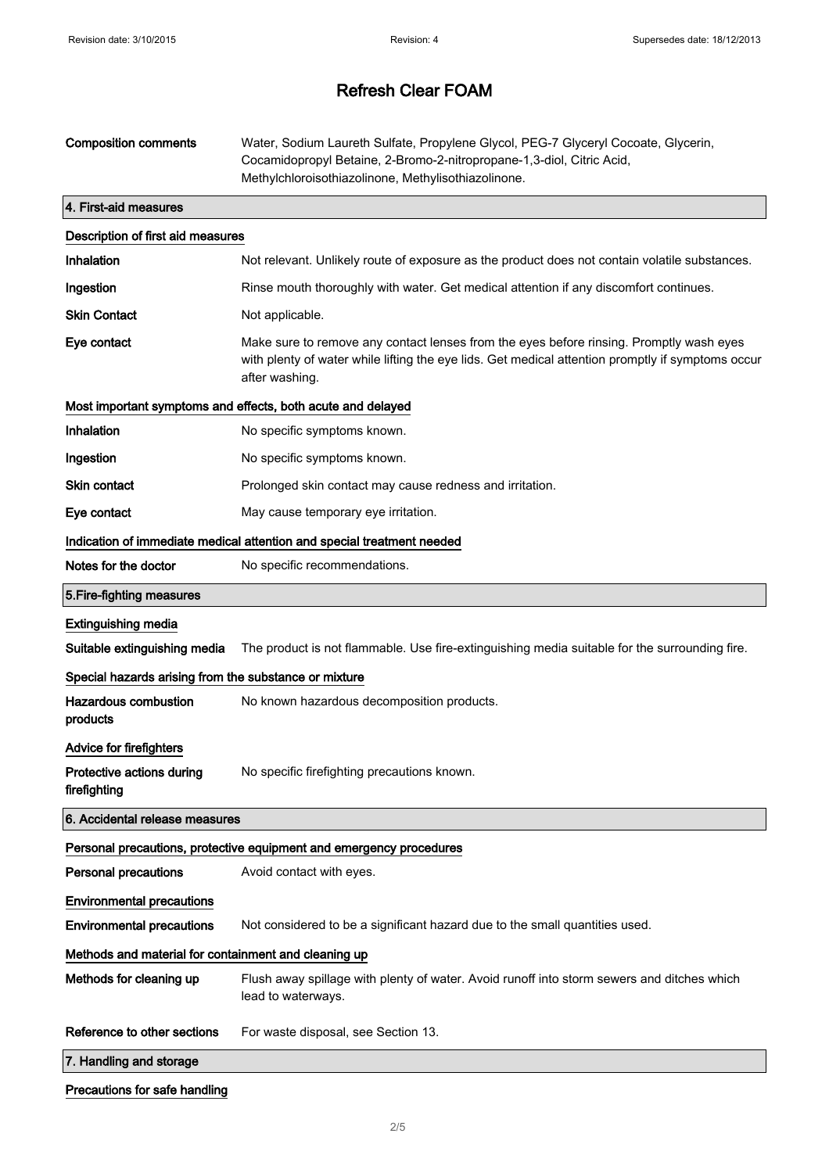| <b>Composition comments</b>                           | Water, Sodium Laureth Sulfate, Propylene Glycol, PEG-7 Glyceryl Cocoate, Glycerin,<br>Cocamidopropyl Betaine, 2-Bromo-2-nitropropane-1,3-diol, Citric Acid,<br>Methylchloroisothiazolinone, Methylisothiazolinone. |  |
|-------------------------------------------------------|--------------------------------------------------------------------------------------------------------------------------------------------------------------------------------------------------------------------|--|
| 4. First-aid measures                                 |                                                                                                                                                                                                                    |  |
| Description of first aid measures                     |                                                                                                                                                                                                                    |  |
| Inhalation                                            | Not relevant. Unlikely route of exposure as the product does not contain volatile substances.                                                                                                                      |  |
| Ingestion                                             | Rinse mouth thoroughly with water. Get medical attention if any discomfort continues.                                                                                                                              |  |
| <b>Skin Contact</b>                                   | Not applicable.                                                                                                                                                                                                    |  |
| Eye contact                                           | Make sure to remove any contact lenses from the eyes before rinsing. Promptly wash eyes<br>with plenty of water while lifting the eye lids. Get medical attention promptly if symptoms occur<br>after washing.     |  |
|                                                       | Most important symptoms and effects, both acute and delayed                                                                                                                                                        |  |
| Inhalation                                            | No specific symptoms known.                                                                                                                                                                                        |  |
| Ingestion                                             | No specific symptoms known.                                                                                                                                                                                        |  |
| Skin contact                                          | Prolonged skin contact may cause redness and irritation.                                                                                                                                                           |  |
| Eye contact                                           | May cause temporary eye irritation.                                                                                                                                                                                |  |
|                                                       | Indication of immediate medical attention and special treatment needed                                                                                                                                             |  |
| Notes for the doctor                                  | No specific recommendations.                                                                                                                                                                                       |  |
| 5. Fire-fighting measures                             |                                                                                                                                                                                                                    |  |
| <b>Extinguishing media</b>                            |                                                                                                                                                                                                                    |  |
| Suitable extinguishing media                          | The product is not flammable. Use fire-extinguishing media suitable for the surrounding fire.                                                                                                                      |  |
| Special hazards arising from the substance or mixture |                                                                                                                                                                                                                    |  |
| <b>Hazardous combustion</b><br>products               | No known hazardous decomposition products.                                                                                                                                                                         |  |
| Advice for firefighters                               |                                                                                                                                                                                                                    |  |
| Protective actions during<br>firefighting             | No specific firefighting precautions known.                                                                                                                                                                        |  |
| 6. Accidental release measures                        |                                                                                                                                                                                                                    |  |
|                                                       | Personal precautions, protective equipment and emergency procedures                                                                                                                                                |  |
| <b>Personal precautions</b>                           | Avoid contact with eyes.                                                                                                                                                                                           |  |
| <b>Environmental precautions</b>                      |                                                                                                                                                                                                                    |  |
| <b>Environmental precautions</b>                      | Not considered to be a significant hazard due to the small quantities used.                                                                                                                                        |  |
| Methods and material for containment and cleaning up  |                                                                                                                                                                                                                    |  |
| Methods for cleaning up                               | Flush away spillage with plenty of water. Avoid runoff into storm sewers and ditches which<br>lead to waterways.                                                                                                   |  |
| Reference to other sections                           | For waste disposal, see Section 13.                                                                                                                                                                                |  |
| 7. Handling and storage                               |                                                                                                                                                                                                                    |  |
|                                                       |                                                                                                                                                                                                                    |  |

Precautions for safe handling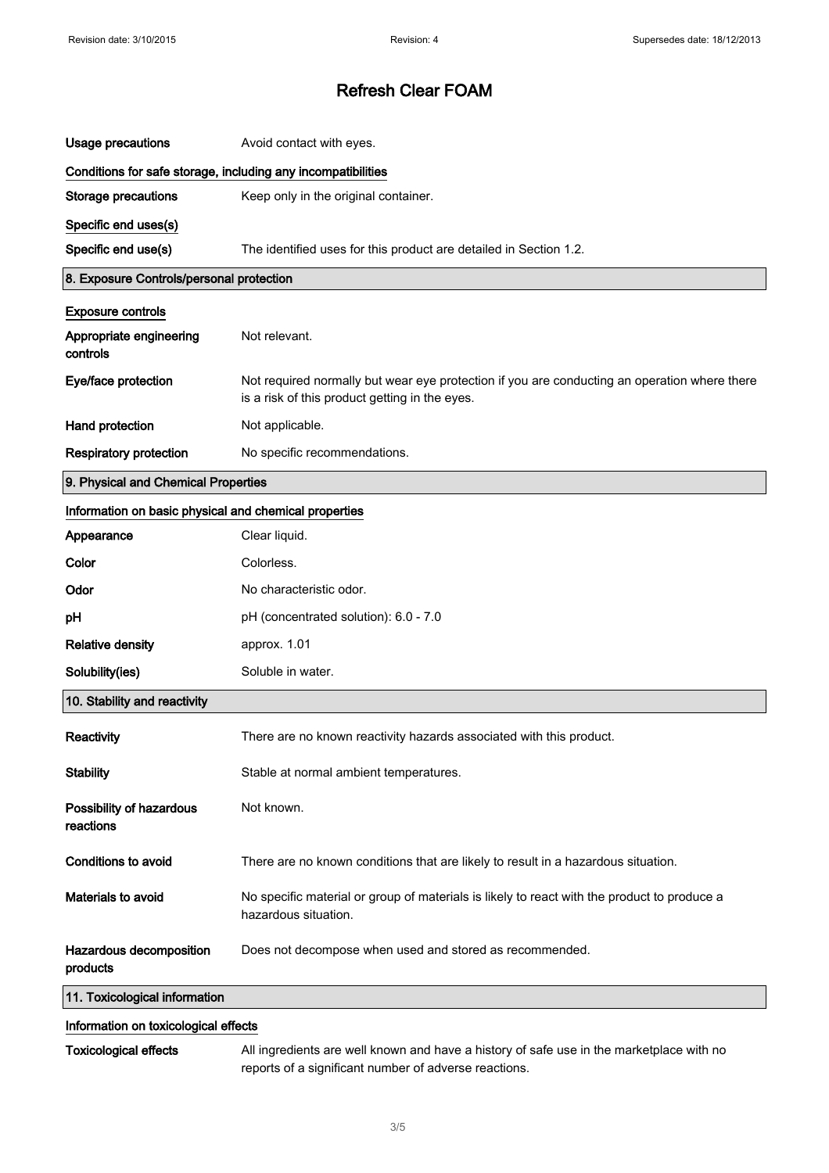| <b>Usage precautions</b>                                     | Avoid contact with eyes.                                                                                                                       |  |
|--------------------------------------------------------------|------------------------------------------------------------------------------------------------------------------------------------------------|--|
| Conditions for safe storage, including any incompatibilities |                                                                                                                                                |  |
| Storage precautions                                          | Keep only in the original container.                                                                                                           |  |
| Specific end uses(s)                                         |                                                                                                                                                |  |
| Specific end use(s)                                          | The identified uses for this product are detailed in Section 1.2.                                                                              |  |
| 8. Exposure Controls/personal protection                     |                                                                                                                                                |  |
| <b>Exposure controls</b>                                     |                                                                                                                                                |  |
| Appropriate engineering<br>controls                          | Not relevant.                                                                                                                                  |  |
| Eye/face protection                                          | Not required normally but wear eye protection if you are conducting an operation where there<br>is a risk of this product getting in the eyes. |  |
| Hand protection                                              | Not applicable.                                                                                                                                |  |
| <b>Respiratory protection</b>                                | No specific recommendations.                                                                                                                   |  |
| 9. Physical and Chemical Properties                          |                                                                                                                                                |  |
| Information on basic physical and chemical properties        |                                                                                                                                                |  |
| Appearance                                                   | Clear liquid.                                                                                                                                  |  |
| Color                                                        | Colorless.                                                                                                                                     |  |
| Odor                                                         | No characteristic odor.                                                                                                                        |  |
| pH                                                           | pH (concentrated solution): 6.0 - 7.0                                                                                                          |  |
| <b>Relative density</b>                                      | approx. 1.01                                                                                                                                   |  |
| Solubility(ies)                                              | Soluble in water.                                                                                                                              |  |
| 10. Stability and reactivity                                 |                                                                                                                                                |  |
| Reactivity                                                   | There are no known reactivity hazards associated with this product.                                                                            |  |
| <b>Stability</b>                                             | Stable at normal ambient temperatures.                                                                                                         |  |
| Possibility of hazardous<br>reactions                        | Not known.                                                                                                                                     |  |
| <b>Conditions to avoid</b>                                   | There are no known conditions that are likely to result in a hazardous situation.                                                              |  |
| Materials to avoid                                           | No specific material or group of materials is likely to react with the product to produce a<br>hazardous situation.                            |  |
| Hazardous decomposition<br>products                          | Does not decompose when used and stored as recommended.                                                                                        |  |
| 11. Toxicological information                                |                                                                                                                                                |  |
| Information on texicological effects                         |                                                                                                                                                |  |

#### Information on toxicological effects

 $\bar{z}$ 

Toxicological effects All ingredients are well known and have a history of safe use in the marketplace with no reports of a significant number of adverse reactions.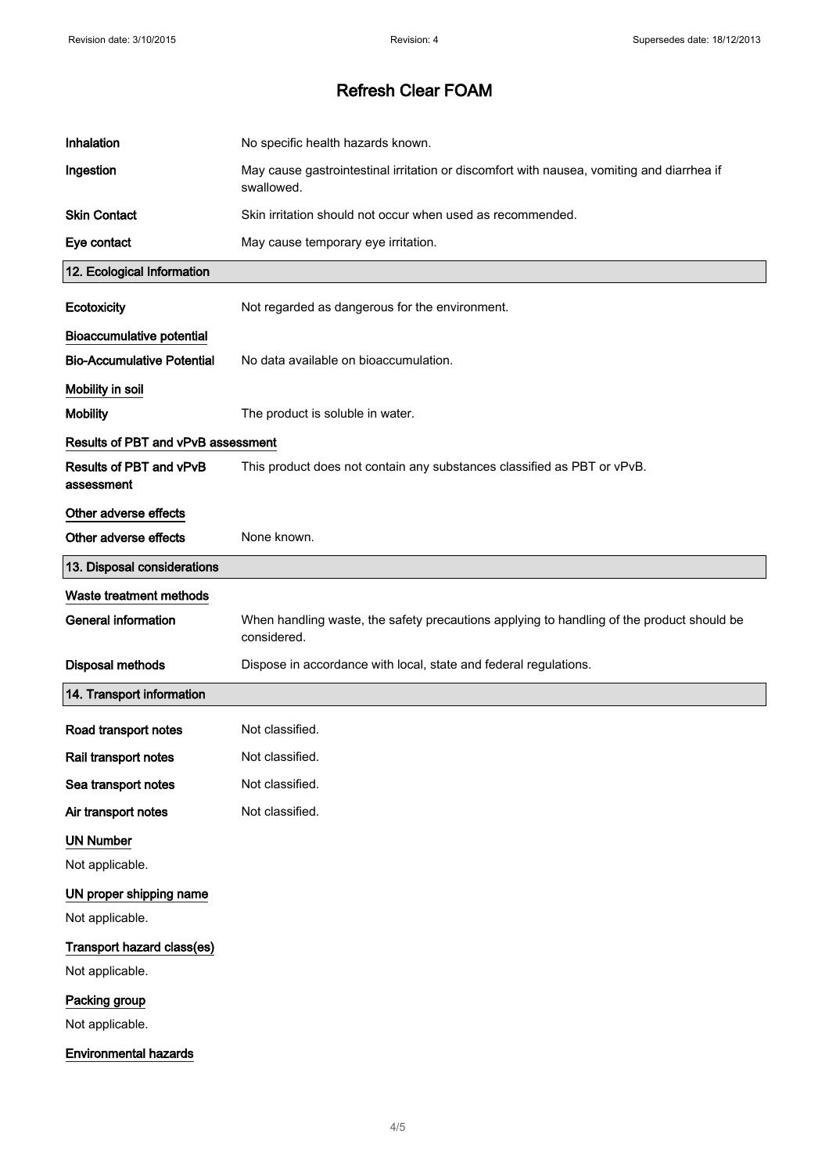| Inhalation                            | No specific health hazards known.                                                                        |
|---------------------------------------|----------------------------------------------------------------------------------------------------------|
| Ingestion                             | May cause gastrointestinal irritation or discomfort with nausea, vomiting and diarrhea if<br>swallowed.  |
| <b>Skin Contact</b>                   | Skin irritation should not occur when used as recommended.                                               |
| Eye contact                           | May cause temporary eye irritation.                                                                      |
| 12. Ecological Information            |                                                                                                          |
| Ecotoxicity                           | Not regarded as dangerous for the environment.                                                           |
| <b>Bioaccumulative potential</b>      |                                                                                                          |
| <b>Bio-Accumulative Potential</b>     | No data available on bioaccumulation.                                                                    |
| Mobility in soil                      |                                                                                                          |
| <b>Mobility</b>                       | The product is soluble in water.                                                                         |
| Results of PBT and vPvB assessment    |                                                                                                          |
| Results of PBT and vPvB<br>assessment | This product does not contain any substances classified as PBT or vPvB.                                  |
| Other adverse effects                 |                                                                                                          |
| Other adverse effects                 | None known.                                                                                              |
| 13. Disposal considerations           |                                                                                                          |
| Waste treatment methods               |                                                                                                          |
| <b>General information</b>            | When handling waste, the safety precautions applying to handling of the product should be<br>considered. |
| <b>Disposal methods</b>               | Dispose in accordance with local, state and federal regulations.                                         |
| 14. Transport information             |                                                                                                          |
| Road transport notes                  | Not classified.                                                                                          |
| Rail transport notes                  | Not classified.                                                                                          |
| Sea transport notes                   | Not classified.                                                                                          |
| Air transport notes                   | Not classified.                                                                                          |
| <b>UN Number</b>                      |                                                                                                          |
| Not applicable.                       |                                                                                                          |
| UN proper shipping name               |                                                                                                          |
| Not applicable.                       |                                                                                                          |
| Transport hazard class(es)            |                                                                                                          |
| Not applicable.                       |                                                                                                          |
| Packing group                         |                                                                                                          |
| Not applicable.                       |                                                                                                          |
| <b>Environmental hazards</b>          |                                                                                                          |